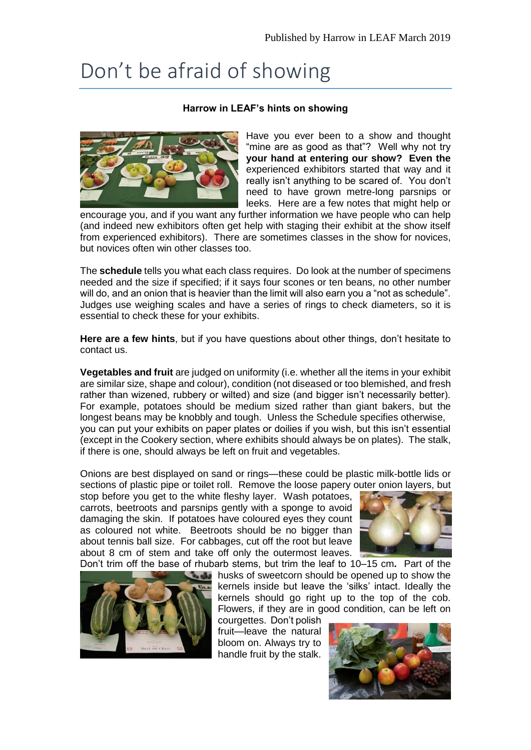## Don't be afraid of showing

## **Harrow in LEAF's hints on showing**



Have you ever been to a show and thought "mine are as good as that"? Well why not try **your hand at entering our show? Even the** experienced exhibitors started that way and it really isn't anything to be scared of. You don't need to have grown metre-long parsnips or leeks. Here are a few notes that might help or

encourage you, and if you want any further information we have people who can help (and indeed new exhibitors often get help with staging their exhibit at the show itself from experienced exhibitors). There are sometimes classes in the show for novices, but novices often win other classes too.

The **schedule** tells you what each class requires. Do look at the number of specimens needed and the size if specified; if it says four scones or ten beans, no other number will do, and an onion that is heavier than the limit will also earn you a "not as schedule". Judges use weighing scales and have a series of rings to check diameters, so it is essential to check these for your exhibits.

**Here are a few hints**, but if you have questions about other things, don't hesitate to contact us.

**Vegetables and fruit** are judged on uniformity (i.e. whether all the items in your exhibit are similar size, shape and colour), condition (not diseased or too blemished, and fresh rather than wizened, rubbery or wilted) and size (and bigger isn't necessarily better). For example, potatoes should be medium sized rather than giant bakers, but the longest beans may be knobbly and tough. Unless the Schedule specifies otherwise, you can put your exhibits on paper plates or doilies if you wish, but this isn't essential (except in the Cookery section, where exhibits should always be on plates). The stalk, if there is one, should always be left on fruit and vegetables.

Onions are best displayed on sand or rings—these could be plastic milk-bottle lids or sections of plastic pipe or toilet roll. Remove the loose papery outer onion layers, but

stop before you get to the white fleshy layer. Wash potatoes, carrots, beetroots and parsnips gently with a sponge to avoid damaging the skin. If potatoes have coloured eyes they count as coloured not white. Beetroots should be no bigger than about tennis ball size. For cabbages, cut off the root but leave about 8 cm of stem and take off only the outermost leaves.





Don't trim off the base of rhubarb stems, but trim the leaf to 10–15 cm**.** Part of the husks of sweetcorn should be opened up to show the kernels inside but leave the 'silks' intact. Ideally the kernels should go right up to the top of the cob. Flowers, if they are in good condition, can be left on

courgettes.Don't polish fruit—leave the natural bloom on. Always try to handle fruit by the stalk.